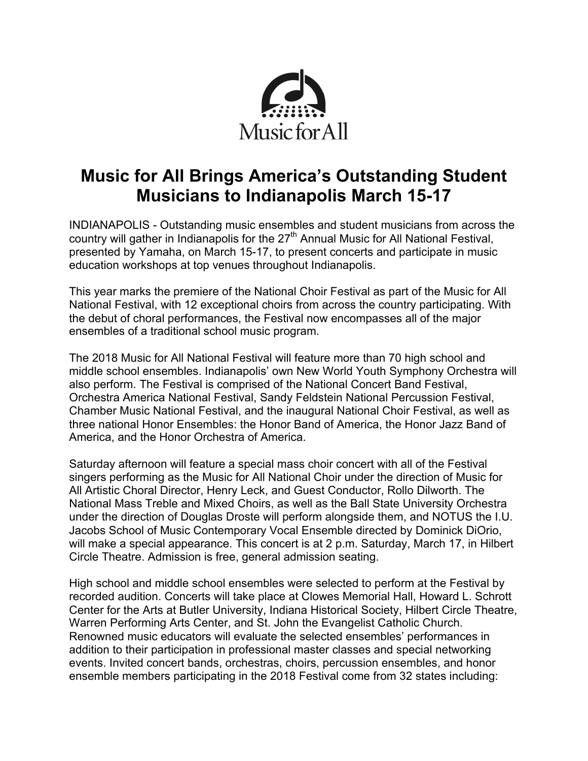

# **Music for All Brings America's Outstanding Student Musicians to Indianapolis March 15-17**

INDIANAPOLIS - Outstanding music ensembles and student musicians from across the country will gather in Indianapolis for the 27<sup>th</sup> Annual Music for All National Festival, presented by Yamaha, on March 15-17, to present concerts and participate in music education workshops at top venues throughout Indianapolis.

This year marks the premiere of the National Choir Festival as part of the Music for All National Festival, with 12 exceptional choirs from across the country participating. With the debut of choral performances, the Festival now encompasses all of the major ensembles of a traditional school music program.

The 2018 Music for All National Festival will feature more than 70 high school and middle school ensembles. Indianapolis' own New World Youth Symphony Orchestra will also perform. The Festival is comprised of the National Concert Band Festival, Orchestra America National Festival, Sandy Feldstein National Percussion Festival, Chamber Music National Festival, and the inaugural National Choir Festival, as well as three national Honor Ensembles: the Honor Band of America, the Honor Jazz Band of America, and the Honor Orchestra of America.

Saturday afternoon will feature a special mass choir concert with all of the Festival singers performing as the Music for All National Choir under the direction of Music for All Artistic Choral Director, Henry Leck, and Guest Conductor, Rollo Dilworth. The National Mass Treble and Mixed Choirs, as well as the Ball State University Orchestra under the direction of Douglas Droste will perform alongside them, and NOTUS the I.U. Jacobs School of Music Contemporary Vocal Ensemble directed by Dominick DiOrio, will make a special appearance. This concert is at 2 p.m. Saturday, March 17, in Hilbert Circle Theatre. Admission is free, general admission seating.

High school and middle school ensembles were selected to perform at the Festival by recorded audition. Concerts will take place at Clowes Memorial Hall, Howard L. Schrott Center for the Arts at Butler University, Indiana Historical Society, Hilbert Circle Theatre, Warren Performing Arts Center, and St. John the Evangelist Catholic Church. Renowned music educators will evaluate the selected ensembles' performances in addition to their participation in professional master classes and special networking events. Invited concert bands, orchestras, choirs, percussion ensembles, and honor ensemble members participating in the 2018 Festival come from 32 states including: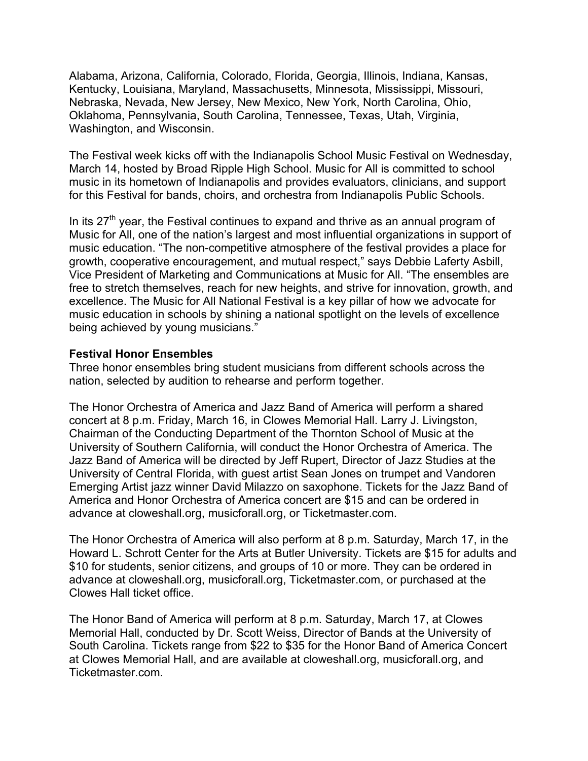Alabama, Arizona, California, Colorado, Florida, Georgia, Illinois, Indiana, Kansas, Kentucky, Louisiana, Maryland, Massachusetts, Minnesota, Mississippi, Missouri, Nebraska, Nevada, New Jersey, New Mexico, New York, North Carolina, Ohio, Oklahoma, Pennsylvania, South Carolina, Tennessee, Texas, Utah, Virginia, Washington, and Wisconsin.

The Festival week kicks off with the Indianapolis School Music Festival on Wednesday, March 14, hosted by Broad Ripple High School. Music for All is committed to school music in its hometown of Indianapolis and provides evaluators, clinicians, and support for this Festival for bands, choirs, and orchestra from Indianapolis Public Schools.

In its  $27<sup>th</sup>$  year, the Festival continues to expand and thrive as an annual program of Music for All, one of the nation's largest and most influential organizations in support of music education. "The non-competitive atmosphere of the festival provides a place for growth, cooperative encouragement, and mutual respect," says Debbie Laferty Asbill, Vice President of Marketing and Communications at Music for All. "The ensembles are free to stretch themselves, reach for new heights, and strive for innovation, growth, and excellence. The Music for All National Festival is a key pillar of how we advocate for music education in schools by shining a national spotlight on the levels of excellence being achieved by young musicians."

#### **Festival Honor Ensembles**

Three honor ensembles bring student musicians from different schools across the nation, selected by audition to rehearse and perform together.

The Honor Orchestra of America and Jazz Band of America will perform a shared concert at 8 p.m. Friday, March 16, in Clowes Memorial Hall. Larry J. Livingston, Chairman of the Conducting Department of the Thornton School of Music at the University of Southern California, will conduct the Honor Orchestra of America. The Jazz Band of America will be directed by Jeff Rupert, Director of Jazz Studies at the University of Central Florida, with guest artist Sean Jones on trumpet and Vandoren Emerging Artist jazz winner David Milazzo on saxophone. Tickets for the Jazz Band of America and Honor Orchestra of America concert are \$15 and can be ordered in advance at cloweshall.org, musicforall.org, or Ticketmaster.com.

The Honor Orchestra of America will also perform at 8 p.m. Saturday, March 17, in the Howard L. Schrott Center for the Arts at Butler University. Tickets are \$15 for adults and \$10 for students, senior citizens, and groups of 10 or more. They can be ordered in advance at cloweshall.org, musicforall.org, Ticketmaster.com, or purchased at the Clowes Hall ticket office.

The Honor Band of America will perform at 8 p.m. Saturday, March 17, at Clowes Memorial Hall, conducted by Dr. Scott Weiss, Director of Bands at the University of South Carolina. Tickets range from \$22 to \$35 for the Honor Band of America Concert at Clowes Memorial Hall, and are available at cloweshall.org, musicforall.org, and Ticketmaster.com.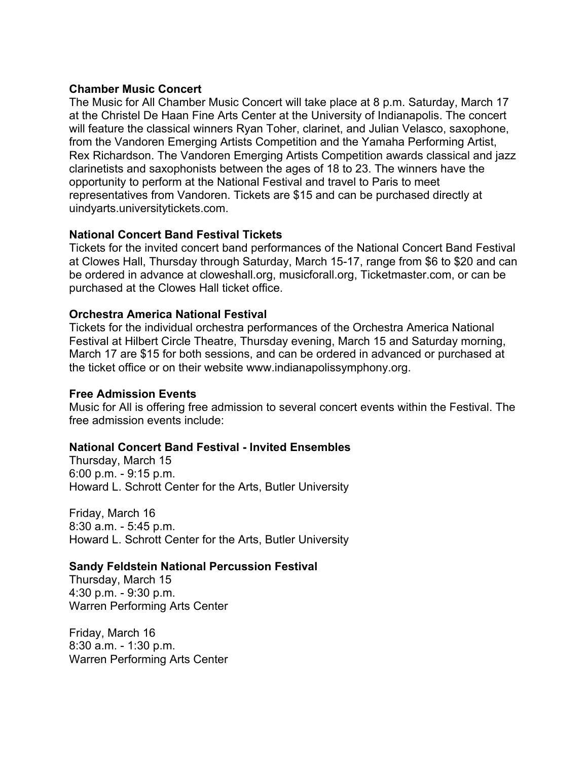#### **Chamber Music Concert**

The Music for All Chamber Music Concert will take place at 8 p.m. Saturday, March 17 at the Christel De Haan Fine Arts Center at the University of Indianapolis. The concert will feature the classical winners Ryan Toher, clarinet, and Julian Velasco, saxophone, from the Vandoren Emerging Artists Competition and the Yamaha Performing Artist, Rex Richardson. The Vandoren Emerging Artists Competition awards classical and jazz clarinetists and saxophonists between the ages of 18 to 23. The winners have the opportunity to perform at the National Festival and travel to Paris to meet representatives from Vandoren. Tickets are \$15 and can be purchased directly at uindyarts.universitytickets.com.

## **National Concert Band Festival Tickets**

Tickets for the invited concert band performances of the National Concert Band Festival at Clowes Hall, Thursday through Saturday, March 15-17, range from \$6 to \$20 and can be ordered in advance at cloweshall.org, musicforall.org, Ticketmaster.com, or can be purchased at the Clowes Hall ticket office.

## **Orchestra America National Festival**

Tickets for the individual orchestra performances of the Orchestra America National Festival at Hilbert Circle Theatre, Thursday evening, March 15 and Saturday morning, March 17 are \$15 for both sessions, and can be ordered in advanced or purchased at the ticket office or on their website www.indianapolissymphony.org.

## **Free Admission Events**

Music for All is offering free admission to several concert events within the Festival. The free admission events include:

## **National Concert Band Festival - Invited Ensembles**

Thursday, March 15 6:00 p.m. - 9:15 p.m. Howard L. Schrott Center for the Arts, Butler University

Friday, March 16 8:30 a.m. - 5:45 p.m. Howard L. Schrott Center for the Arts, Butler University

## **Sandy Feldstein National Percussion Festival**

Thursday, March 15 4:30 p.m. - 9:30 p.m. Warren Performing Arts Center

Friday, March 16 8:30 a.m. - 1:30 p.m. Warren Performing Arts Center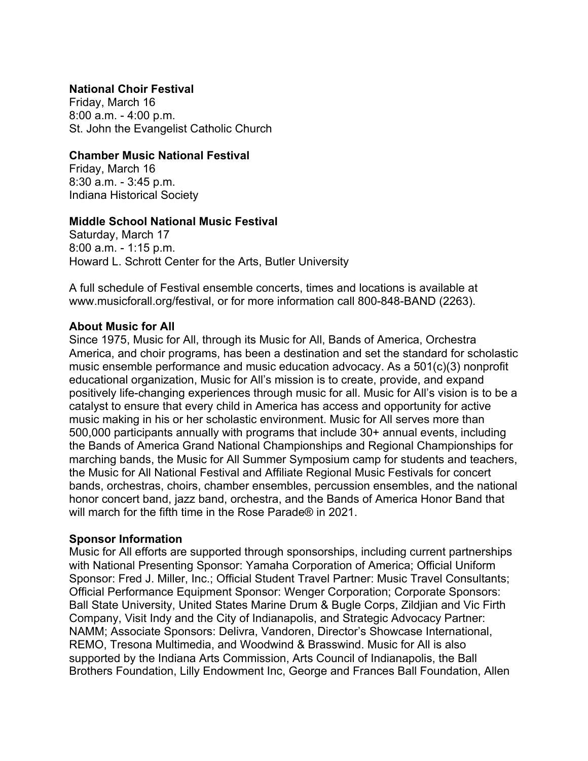## **National Choir Festival**

Friday, March 16 8:00 a.m. - 4:00 p.m. St. John the Evangelist Catholic Church

#### **Chamber Music National Festival**

Friday, March 16 8:30 a.m. - 3:45 p.m. Indiana Historical Society

#### **Middle School National Music Festival**

Saturday, March 17 8:00 a.m. - 1:15 p.m. Howard L. Schrott Center for the Arts, Butler University

A full schedule of Festival ensemble concerts, times and locations is available at www.musicforall.org/festival, or for more information call 800-848-BAND (2263).

#### **About Music for All**

Since 1975, Music for All, through its Music for All, Bands of America, Orchestra America, and choir programs, has been a destination and set the standard for scholastic music ensemble performance and music education advocacy. As a 501(c)(3) nonprofit educational organization, Music for All's mission is to create, provide, and expand positively life-changing experiences through music for all. Music for All's vision is to be a catalyst to ensure that every child in America has access and opportunity for active music making in his or her scholastic environment. Music for All serves more than 500,000 participants annually with programs that include 30+ annual events, including the Bands of America Grand National Championships and Regional Championships for marching bands, the Music for All Summer Symposium camp for students and teachers, the Music for All National Festival and Affiliate Regional Music Festivals for concert bands, orchestras, choirs, chamber ensembles, percussion ensembles, and the national honor concert band, jazz band, orchestra, and the Bands of America Honor Band that will march for the fifth time in the Rose Parade® in 2021.

## **Sponsor Information**

Music for All efforts are supported through sponsorships, including current partnerships with National Presenting Sponsor: Yamaha Corporation of America; Official Uniform Sponsor: Fred J. Miller, Inc.; Official Student Travel Partner: Music Travel Consultants; Official Performance Equipment Sponsor: Wenger Corporation; Corporate Sponsors: Ball State University, United States Marine Drum & Bugle Corps, Zildjian and Vic Firth Company, Visit Indy and the City of Indianapolis, and Strategic Advocacy Partner: NAMM; Associate Sponsors: Delivra, Vandoren, Director's Showcase International, REMO, Tresona Multimedia, and Woodwind & Brasswind. Music for All is also supported by the Indiana Arts Commission, Arts Council of Indianapolis, the Ball Brothers Foundation, Lilly Endowment Inc, George and Frances Ball Foundation, Allen